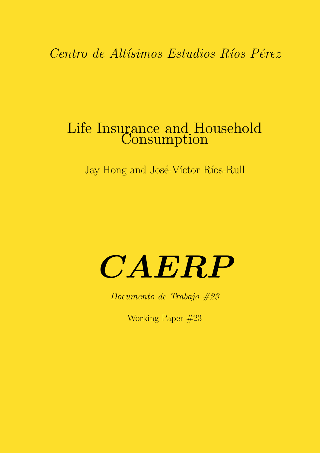Centro de Altísimos Estudios Ríos Pérez

# Life Insurance and Household Consumption

Jay Hong and José-Víctor Ríos-Rull

# CAERP

Documento de Trabajo #23

Working Paper #23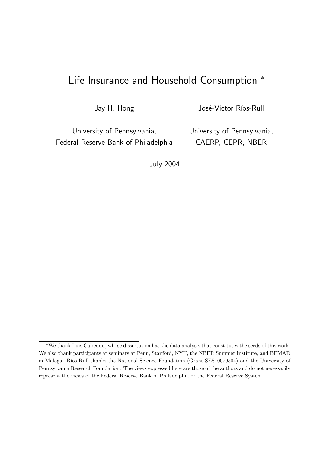# Life Insurance and Household Consumption  $*$

Jay H. Hong

José-Víctor Ríos-Rull

University of Pennsylvania, Federal Reserve Bank of Philadelphia University of Pennsylvania, CAERP, CEPR, NBER

July 2004

<sup>∗</sup>We thank Luis Cubeddu, whose dissertation has the data analysis that constitutes the seeds of this work. We also thank participants at seminars at Penn, Stanford, NYU, the NBER Summer Institute, and BEMAD in Malaga. Ríos-Rull thanks the National Science Foundation (Grant SES-0079504) and the University of Pennsylvania Research Foundation. The views expressed here are those of the authors and do not necessarily represent the views of the Federal Reserve Bank of Philadelphia or the Federal Reserve System.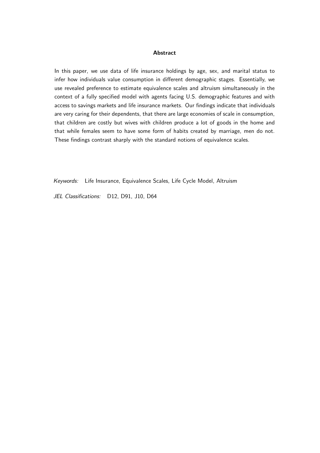#### **Abstract**

In this paper, we use data of life insurance holdings by age, sex, and marital status to infer how individuals value consumption in different demographic stages. Essentially, we use revealed preference to estimate equivalence scales and altruism simultaneously in the context of a fully specified model with agents facing U.S. demographic features and with access to savings markets and life insurance markets. Our findings indicate that individuals are very caring for their dependents, that there are large economies of scale in consumption, that children are costly but wives with children produce a lot of goods in the home and that while females seem to have some form of habits created by marriage, men do not. These findings contrast sharply with the standard notions of equivalence scales.

Keywords: Life Insurance, Equivalence Scales, Life Cycle Model, Altruism

JEL Classifications: D12, D91, J10, D64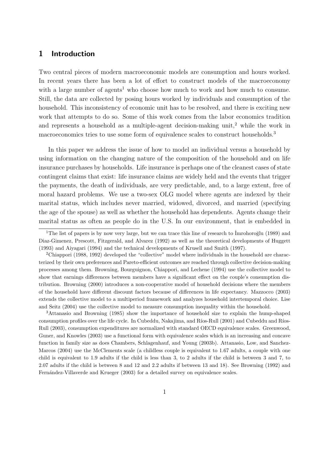# 1 Introduction

Two central pieces of modern macroeconomic models are consumption and hours worked. In recent years there has been a lot of effort to construct models of the macroeconomy with a large number of agents<sup>1</sup> who choose how much to work and how much to consume. Still, the data are collected by posing hours worked by individuals and consumption of the household. This inconsistency of economic unit has to be resolved, and there is exciting new work that attempts to do so. Some of this work comes from the labor economics tradition and represents a household as a multiple-agent decision-making unit,<sup>2</sup> while the work in macroeconomics tries to use some form of equivalence scales to construct households.<sup>3</sup>

In this paper we address the issue of how to model an individual versus a household by using information on the changing nature of the composition of the household and on life insurance purchases by households. Life insurance is perhaps one of the cleanest cases of state contingent claims that exist: life insurance claims are widely held and the events that trigger the payments, the death of individuals, are very predictable, and, to a large extent, free of moral hazard problems. We use a two-sex OLG model where agents are indexed by their marital status, which includes never married, widowed, divorced, and married (specifying the age of the spouse) as well as whether the household has dependents. Agents change their marital status as often as people do in the U.S. In our environment, that is embedded in

<sup>3</sup>Attanasio and Browning (1985) show the importance of household size to explain the hump-shaped consumption profiles over the life cycle. In Cubeddu, Nakajima, and Ríos-Rull (2001) and Cubeddu and Ríos-Rull (2003), consumption expenditures are normalized with standard OECD equivalence scales. Greenwood, Guner, and Knowles (2003) use a functional form with equivalence scales which is an increasing and concave function in family size as does Chambers, Schlagenhauf, and Young (2003b). Attanasio, Low, and Sanchez-Marcos (2004) use the McClements scale (a childless couple is equivalent to 1.67 adults, a couple with one child is equivalent to 1.9 adults if the child is less than 3, to 2 adults if the child is between 3 and 7, to 2.07 adults if the child is between 8 and 12 and 2.2 adults if between 13 and 18). See Browning (1992) and Fernández-Villaverde and Krueger (2003) for a detailed survey on equivalence scales.

<sup>&</sup>lt;sup>1</sup>The list of papers is by now very large, but we can trace this line of research to  $\overline{I}$ mrohoro $\breve{\chi}$ lu (1989) and Diaz-Gimenez, Prescott, Fitzgerald, and Alvarez (1992) as well as the theoretical developments of Huggett (1993) and Aiyagari (1994) and the technical developments of Krusell and Smith (1997).

<sup>2</sup>Chiappori (1988, 1992) developed the "collective" model where individuals in the household are characterized by their own preferences and Pareto-efficient outcomes are reached through collective decision-making processes among them. Browning, Bourguignon, Chiappori, and Lechene (1994) use the collective model to show that earnings differences between members have a significant effect on the couple's consumption distribution. Browning (2000) introduces a non-cooperative model of household decisions where the members of the household have different discount factors because of differences in life expectancy. Mazzocco (2003) extends the collective model to a multiperiod framework and analyzes household intertemporal choice. Lise and Seitz (2004) use the collective model to measure consumption inequality within the household.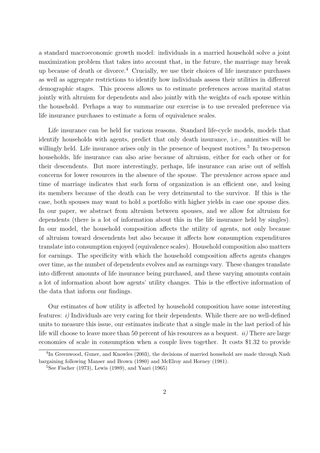a standard macroeconomic growth model: individuals in a married household solve a joint maximization problem that takes into account that, in the future, the marriage may break up because of death or divorce.<sup>4</sup> Crucially, we use their choices of life insurance purchases as well as aggregate restrictions to identify how individuals assess their utilities in different demographic stages. This process allows us to estimate preferences across marital status jointly with altruism for dependents and also jointly with the weights of each spouse within the household. Perhaps a way to summarize our exercise is to use revealed preference via life insurance purchases to estimate a form of equivalence scales.

Life insurance can be held for various reasons. Standard life-cycle models, models that identify households with agents, predict that only death insurance, i.e., annuities will be willingly held. Life insurance arises only in the presence of bequest motives.<sup>5</sup> In two-person households, life insurance can also arise because of altruism, either for each other or for their descendents. But more interestingly, perhaps, life insurance can arise out of selfish concerns for lower resources in the absence of the spouse. The prevalence across space and time of marriage indicates that such form of organization is an efficient one, and losing its members because of the death can be very detrimental to the survivor. If this is the case, both spouses may want to hold a portfolio with higher yields in case one spouse dies. In our paper, we abstract from altruism between spouses, and we allow for altruism for dependents (there is a lot of information about this in the life insurance held by singles). In our model, the household composition affects the utility of agents, not only because of altruism toward descendents but also because it affects how consumption expenditures translate into consumption enjoyed (equivalence scales). Household composition also matters for earnings. The specificity with which the household composition affects agents changes over time, as the number of dependents evolves and as earnings vary. These changes translate into different amounts of life insurance being purchased, and these varying amounts contain a lot of information about how agents' utility changes. This is the effective information of the data that inform our findings.

Our estimates of how utility is affected by household composition have some interesting features: i) Individuals are very caring for their dependents. While there are no well-defined units to measure this issue, our estimates indicate that a single male in the last period of his life will choose to leave more than 50 percent of his resources as a bequest.  $ii$ ) There are large economies of scale in consumption when a couple lives together. It costs \$1.32 to provide

<sup>&</sup>lt;sup>4</sup>In Greenwood, Guner, and Knowles (2003), the decisions of married household are made through Nash bargaining following Manser and Brown (1980) and McElroy and Horney (1981).

 ${}^{5}$ See Fischer (1973), Lewis (1989), and Yaari (1965)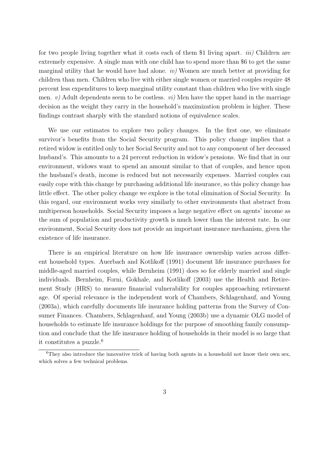for two people living together what it costs each of them \$1 living apart. *iii*) Children are extremely expensive. A single man with one child has to spend more than \$6 to get the same marginal utility that he would have had alone.  $iv$  Women are much better at providing for children than men. Children who live with either single women or married couples require 48 percent less expenditures to keep marginal utility constant than children who live with single men.  $v$ ) Adult dependents seem to be costless.  $vi$ ) Men have the upper hand in the marriage decision as the weight they carry in the household's maximization problem is higher. These findings contrast sharply with the standard notions of equivalence scales.

We use our estimates to explore two policy changes. In the first one, we eliminate survivor's benefits from the Social Security program. This policy change implies that a retired widow is entitled only to her Social Security and not to any component of her deceased husband's. This amounts to a 24 percent reduction in widow's pensions. We find that in our environment, widows want to spend an amount similar to that of couples, and hence upon the husband's death, income is reduced but not necessarily expenses. Married couples can easily cope with this change by purchasing additional life insurance, so this policy change has little effect. The other policy change we explore is the total elimination of Social Security. In this regard, our environment works very similarly to other environments that abstract from multiperson households. Social Security imposes a large negative effect on agents' income as the sum of population and productivity growth is much lower than the interest rate. In our environment, Social Security does not provide an important insurance mechanism, given the existence of life insurance.

There is an empirical literature on how life insurance ownership varies across different household types. Auerbach and Kotlikoff (1991) document life insurance purchases for middle-aged married couples, while Bernheim (1991) does so for elderly married and single individuals. Bernheim, Forni, Gokhale, and Kotlikoff (2003) use the Health and Retirement Study (HRS) to measure financial vulnerability for couples approaching retirement age. Of special relevance is the independent work of Chambers, Schlagenhauf, and Young (2003a), which carefully documents life insurance holding patterns from the Survey of Consumer Finances. Chambers, Schlagenhauf, and Young (2003b) use a dynamic OLG model of households to estimate life insurance holdings for the purpose of smoothing family consumption and conclude that the life insurance holding of households in their model is so large that it constitutes a puzzle.<sup>6</sup>

 ${}^{6}$ They also introduce the innovative trick of having both agents in a household not know their own sex, which solves a few technical problems.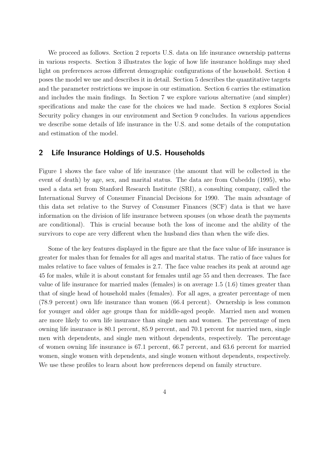We proceed as follows. Section 2 reports U.S. data on life insurance ownership patterns in various respects. Section 3 illustrates the logic of how life insurance holdings may shed light on preferences across different demographic configurations of the household. Section 4 poses the model we use and describes it in detail. Section 5 describes the quantitative targets and the parameter restrictions we impose in our estimation. Section 6 carries the estimation and includes the main findings. In Section 7 we explore various alternative (and simpler) specifications and make the case for the choices we had made. Section 8 explores Social Security policy changes in our environment and Section 9 concludes. In various appendices we describe some details of life insurance in the U.S. and some details of the computation and estimation of the model.

## 2 Life Insurance Holdings of U.S. Households

Figure 1 shows the face value of life insurance (the amount that will be collected in the event of death) by age, sex, and marital status. The data are from Cubeddu (1995), who used a data set from Stanford Research Institute (SRI), a consulting company, called the International Survey of Consumer Financial Decisions for 1990. The main advantage of this data set relative to the Survey of Consumer Finances (SCF) data is that we have information on the division of life insurance between spouses (on whose death the payments are conditional). This is crucial because both the loss of income and the ability of the survivors to cope are very different when the husband dies than when the wife dies.

Some of the key features displayed in the figure are that the face value of life insurance is greater for males than for females for all ages and marital status. The ratio of face values for males relative to face values of females is 2.7. The face value reaches its peak at around age 45 for males, while it is about constant for females until age 55 and then decreases. The face value of life insurance for married males (females) is on average 1.5 (1.6) times greater than that of single head of household males (females). For all ages, a greater percentage of men (78.9 percent) own life insurance than women (66.4 percent). Ownership is less common for younger and older age groups than for middle-aged people. Married men and women are more likely to own life insurance than single men and women. The percentage of men owning life insurance is 80.1 percent, 85.9 percent, and 70.1 percent for married men, single men with dependents, and single men without dependents, respectively. The percentage of women owning life insurance is 67.1 percent, 66.7 percent, and 63.6 percent for married women, single women with dependents, and single women without dependents, respectively. We use these profiles to learn about how preferences depend on family structure.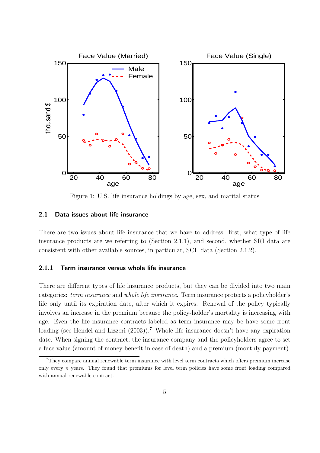

Figure 1: U.S. life insurance holdings by age, sex, and marital status

#### 2.1 Data issues about life insurance

There are two issues about life insurance that we have to address: first, what type of life insurance products are we referring to (Section 2.1.1), and second, whether SRI data are consistent with other available sources, in particular, SCF data (Section 2.1.2).

#### 2.1.1 Term insurance versus whole life insurance

There are different types of life insurance products, but they can be divided into two main categories: term insurance and whole life insurance. Term insurance protects a policyholder's life only until its expiration date, after which it expires. Renewal of the policy typically involves an increase in the premium because the policy-holder's mortality is increasing with age. Even the life insurance contracts labeled as term insurance may be have some front loading (see Hendel and Lizzeri (2003)).<sup>7</sup> Whole life insurance doesn't have any expiration date. When signing the contract, the insurance company and the policyholders agree to set a face value (amount of money benefit in case of death) and a premium (monthly payment).

<sup>&</sup>lt;sup>7</sup>They compare annual renewable term insurance with level term contracts which offers premium increase only every  $n$  years. They found that premiums for level term policies have some front loading compared with annual renewable contract.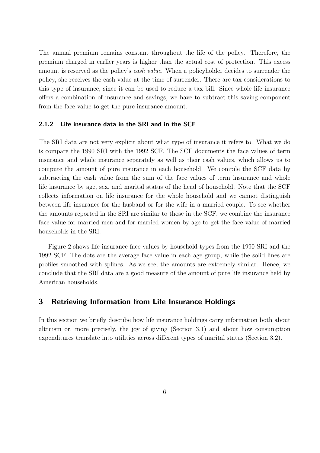The annual premium remains constant throughout the life of the policy. Therefore, the premium charged in earlier years is higher than the actual cost of protection. This excess amount is reserved as the policy's cash value. When a policyholder decides to surrender the policy, she receives the cash value at the time of surrender. There are tax considerations to this type of insurance, since it can be used to reduce a tax bill. Since whole life insurance offers a combination of insurance and savings, we have to subtract this saving component from the face value to get the pure insurance amount.

#### 2.1.2 Life insurance data in the SRI and in the SCF

The SRI data are not very explicit about what type of insurance it refers to. What we do is compare the 1990 SRI with the 1992 SCF. The SCF documents the face values of term insurance and whole insurance separately as well as their cash values, which allows us to compute the amount of pure insurance in each household. We compile the SCF data by subtracting the cash value from the sum of the face values of term insurance and whole life insurance by age, sex, and marital status of the head of household. Note that the SCF collects information on life insurance for the whole household and we cannot distinguish between life insurance for the husband or for the wife in a married couple. To see whether the amounts reported in the SRI are similar to those in the SCF, we combine the insurance face value for married men and for married women by age to get the face value of married households in the SRI.

Figure 2 shows life insurance face values by household types from the 1990 SRI and the 1992 SCF. The dots are the average face value in each age group, while the solid lines are profiles smoothed with splines. As we see, the amounts are extremely similar. Hence, we conclude that the SRI data are a good measure of the amount of pure life insurance held by American households.

# 3 Retrieving Information from Life Insurance Holdings

In this section we briefly describe how life insurance holdings carry information both about altruism or, more precisely, the joy of giving (Section 3.1) and about how consumption expenditures translate into utilities across different types of marital status (Section 3.2).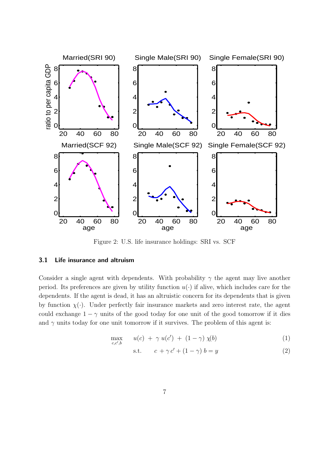

Figure 2: U.S. life insurance holdings: SRI vs. SCF

#### 3.1 Life insurance and altruism

Consider a single agent with dependents. With probability  $\gamma$  the agent may live another period. Its preferences are given by utility function  $u(\cdot)$  if alive, which includes care for the dependents. If the agent is dead, it has an altruistic concern for its dependents that is given by function  $\chi(\cdot)$ . Under perfectly fair insurance markets and zero interest rate, the agent could exchange  $1 - \gamma$  units of the good today for one unit of the good tomorrow if it dies and  $\gamma$  units today for one unit tomorrow if it survives. The problem of this agent is:

$$
\max_{c,c',b} \qquad u(c) + \gamma u(c') + (1-\gamma) \chi(b) \tag{1}
$$

$$
s.t. \t c + \gamma c' + (1 - \gamma) b = y \t (2)
$$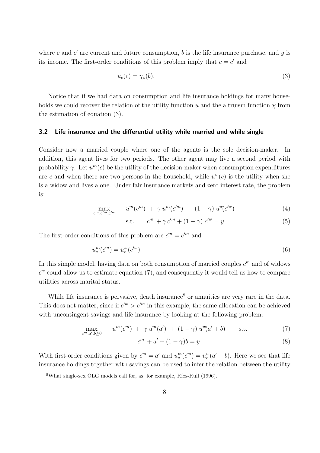where c and  $c'$  are current and future consumption, b is the life insurance purchase, and y is its income. The first-order conditions of this problem imply that  $c = c'$  and

$$
u_c(c) = \chi_b(b). \tag{3}
$$

Notice that if we had data on consumption and life insurance holdings for many households we could recover the relation of the utility function u and the altruism function  $\chi$  from the estimation of equation (3).

#### 3.2 Life insurance and the differential utility while married and while single

Consider now a married couple where one of the agents is the sole decision-maker. In addition, this agent lives for two periods. The other agent may live a second period with probability  $\gamma$ . Let  $u^m(c)$  be the utility of the decision-maker when consumption expenditures are c and when there are two persons in the household, while  $u^w(c)$  is the utility when she is a widow and lives alone. Under fair insurance markets and zero interest rate, the problem is:

$$
\max_{c^m, c'^m, c'^w} \qquad u^m(c^m) + \gamma u^m(c'^m) + (1 - \gamma) u^w(c'^w) \tag{4}
$$

$$
\text{s.t.} \qquad c^m + \gamma c'^m + (1 - \gamma) c'^w = y \tag{5}
$$

The first-order conditions of this problem are  $c^m = c'^m$  and

$$
u_c^m(c^m) = u_c^w(c'^w).
$$
\n(6)

In this simple model, having data on both consumption of married couples  $c<sup>m</sup>$  and of widows  $c^w$  could allow us to estimate equation (7), and consequently it would tell us how to compare utilities across marital status.

While life insurance is pervasive, death insurance<sup>8</sup> or annuities are very rare in the data. This does not matter, since if  $c^{\prime w} > c^{\prime m}$  in this example, the same allocation can be achieved with uncontingent savings and life insurance by looking at the following problem:

$$
\max_{c^m, a', b \ge 0} u^m(c^m) + \gamma u^m(a') + (1 - \gamma) u^w(a' + b) \quad \text{s.t.} \tag{7}
$$

$$
cm + a' + (1 - \gamma)b = y \tag{8}
$$

With first-order conditions given by  $c^m = a'$  and  $u_c^m(c^m) = u_c^w(a' + b)$ . Here we see that life insurance holdings together with savings can be used to infer the relation between the utility

 $8$ What single-sex OLG models call for, as, for example, Ríos-Rull (1996).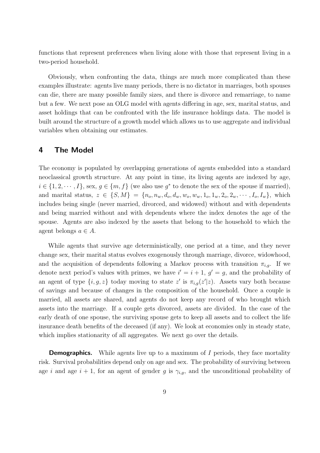functions that represent preferences when living alone with those that represent living in a two-period household.

Obviously, when confronting the data, things are much more complicated than these examples illustrate: agents live many periods, there is no dictator in marriages, both spouses can die, there are many possible family sizes, and there is divorce and remarriage, to name but a few. We next pose an OLG model with agents differing in age, sex, marital status, and asset holdings that can be confronted with the life insurance holdings data. The model is built around the structure of a growth model which allows us to use aggregate and individual variables when obtaining our estimates.

# 4 The Model

The economy is populated by overlapping generations of agents embedded into a standard neoclassical growth structure. At any point in time, its living agents are indexed by age,  $i \in \{1, 2, \dots, I\}$ , sex,  $g \in \{m, f\}$  (we also use  $g^*$  to denote the sex of the spouse if married), and marital status,  $z \in \{S, M\} = \{n_o, n_w, d_o, d_w, w_o, w_w, 1_o, 1_w, 2_o, 2_w, \cdots, I_o, I_w\}$ , which includes being single (never married, divorced, and widowed) without and with dependents and being married without and with dependents where the index denotes the age of the spouse. Agents are also indexed by the assets that belong to the household to which the agent belongs  $a \in A$ .

While agents that survive age deterministically, one period at a time, and they never change sex, their marital status evolves exogenously through marriage, divorce, widowhood, and the acquisition of dependents following a Markov process with transition  $\pi_{i,q}$ . If we denote next period's values with primes, we have  $i' = i + 1$ ,  $g' = g$ , and the probability of an agent of type  $\{i, g, z\}$  today moving to state z' is  $\pi_{i,g}(z'|z)$ . Assets vary both because of savings and because of changes in the composition of the household. Once a couple is married, all assets are shared, and agents do not keep any record of who brought which assets into the marriage. If a couple gets divorced, assets are divided. In the case of the early death of one spouse, the surviving spouse gets to keep all assets and to collect the life insurance death benefits of the deceased (if any). We look at economies only in steady state, which implies stationarity of all aggregates. We next go over the details.

**Demographics.** While agents live up to a maximum of I periods, they face mortality risk. Survival probabilities depend only on age and sex. The probability of surviving between age i and age  $i + 1$ , for an agent of gender g is  $\gamma_{i,g}$ , and the unconditional probability of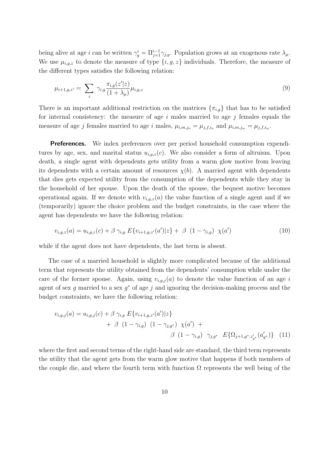being alive at age *i* can be written  $\gamma_g^i = \prod_{j=1}^{i-1} \gamma_{j,g}$ . Population grows at an exogenous rate  $\lambda_\mu$ . We use  $\mu_{i,q,z}$  to denote the measure of type  $\{i, g, z\}$  individuals. Therefore, the measure of the different types satisfies the following relation:

$$
\mu_{i+1,g,z'} = \sum_{z} \gamma_{i,g} \frac{\pi_{i,g}(z'|z)}{(1+\lambda_{\mu})} \mu_{i,g,z}
$$
\n(9)

There is an important additional restriction on the matrices  $\{\pi_{i,g}\}\$  that has to be satisfied for internal consistency: the measure of age  $i$  males married to age  $j$  females equals the measure of age j females married to age i males,  $\mu_{i,m,j_o} = \mu_{j,f,i_o}$  and  $\mu_{i,m,j_w} = \mu_{j,f,i_w}$ .

**Preferences.** We index preferences over per period household consumption expenditures by age, sex, and marital status  $u_{i,q,z}(c)$ . We also consider a form of altruism. Upon death, a single agent with dependents gets utility from a warm glow motive from leaving its dependents with a certain amount of resources  $\chi(b)$ . A married agent with dependents that dies gets expected utility from the consumption of the dependents while they stay in the household of her spouse. Upon the death of the spouse, the bequest motive becomes operational again. If we denote with  $v_{i,q,z}(a)$  the value function of a single agent and if we (temporarily) ignore the choice problem and the budget constraints, in the case where the agent has dependents we have the following relation:

$$
v_{i,g,z}(a) = u_{i,g,z}(c) + \beta \gamma_{i,g} E\{v_{i+1,g,z'}(a')|z\} + \beta (1 - \gamma_{i,g}) \chi(a')
$$
(10)

while if the agent does not have dependents, the last term is absent.

The case of a married household is slightly more complicated because of the additional term that represents the utility obtained from the dependents' consumption while under the care of the former spouse. Again, using  $v_{i,g,j}(a)$  to denote the value function of an age i agent of sex g married to a sex  $g^*$  of age j and ignoring the decision-making process and the budget constraints, we have the following relation:

$$
v_{i,g,j}(a) = u_{i,g,j}(c) + \beta \gamma_{i,g} E\{v_{i+1,g,z'}(a')|z\}+ \beta (1 - \gamma_{i,g}) (1 - \gamma_{j,g^*}) \chi(a') +\beta (1 - \gamma_{i,g}) \gamma_{j,g^*} E\{\Omega_{j+1,g^*,z'_{g^*}}(a'_{g^*})\} (11)
$$

where the first and second terms of the right-hand side are standard, the third term represents the utility that the agent gets from the warm glow motive that happens if both members of the couple die, and where the fourth term with function  $\Omega$  represents the well being of the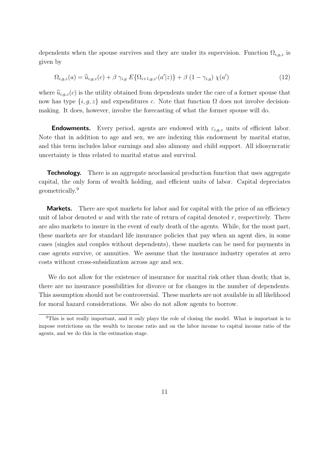dependents when the spouse survives and they are under its supervision. Function  $\Omega_{i,q,z}$  is given by

$$
\Omega_{i,g,z}(a) = \hat{u}_{i,g,z}(c) + \beta \gamma_{i,g} E\{\Omega_{i+1,g,z'}(a'|z)\} + \beta (1 - \gamma_{i,g}) \chi(a')
$$
\n(12)

where  $\hat{u}_{i,g,z}(c)$  is the utility obtained from dependents under the care of a former spouse that now has type  $\{i, g, z\}$  and expenditures c. Note that function  $\Omega$  does not involve decisionmaking. It does, however, involve the forecasting of what the former spouse will do.

**Endowments.** Every period, agents are endowed with  $\varepsilon_{i,q,z}$  units of efficient labor. Note that in addition to age and sex, we are indexing this endowment by marital status, and this term includes labor earnings and also alimony and child support. All idiosyncratic uncertainty is thus related to marital status and survival.

**Technology.** There is an aggregate neoclassical production function that uses aggregate capital, the only form of wealth holding, and efficient units of labor. Capital depreciates geometrically.<sup>9</sup>

**Markets.** There are spot markets for labor and for capital with the price of an efficiency unit of labor denoted w and with the rate of return of capital denoted  $r$ , respectively. There are also markets to insure in the event of early death of the agents. While, for the most part, these markets are for standard life insurance policies that pay when an agent dies, in some cases (singles and couples without dependents), these markets can be used for payments in case agents survive, or annuities. We assume that the insurance industry operates at zero costs without cross-subsidization across age and sex.

We do not allow for the existence of insurance for marital risk other than death; that is, there are no insurance possibilities for divorce or for changes in the number of dependents. This assumption should not be controversial. These markets are not available in all likelihood for moral hazard considerations. We also do not allow agents to borrow.

<sup>9</sup>This is not really important, and it only plays the role of closing the model. What is important is to impose restrictions on the wealth to income ratio and on the labor income to capital income ratio of the agents, and we do this in the estimation stage.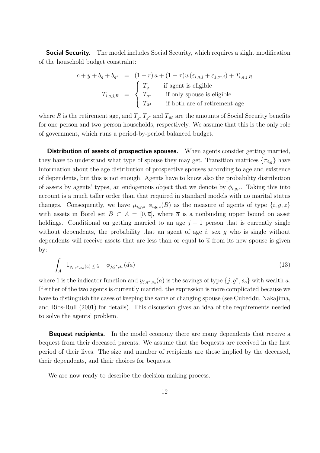**Social Security.** The model includes Social Security, which requires a slight modification of the household budget constraint:

$$
c + y + b_g + b_{g^*} = (1+r)a + (1-\tau)w(\varepsilon_{i,g,j} + \varepsilon_{j,g^*,i}) + T_{i,g,j,R}
$$
  
\n
$$
T_{i,g,j,R} = \begin{cases} T_g & \text{if agent is eligible} \\ T_{g^*} & \text{if only spouse is eligible} \\ T_M & \text{if both are of retirement age} \end{cases}
$$

where R is the retirement age, and  $T_g$ ,  $T_{g^*}$  and  $T_M$  are the amounts of Social Security benefits for one-person and two-person households, respectively. We assume that this is the only role of government, which runs a period-by-period balanced budget.

Distribution of assets of prospective spouses. When agents consider getting married, they have to understand what type of spouse they may get. Transition matrices  $\{\pi_{i,q}\}\$ have information about the age distribution of prospective spouses according to age and existence of dependents, but this is not enough. Agents have to know also the probability distribution of assets by agents' types, an endogenous object that we denote by  $\phi_{i,a,z}$ . Taking this into account is a much taller order than that required in standard models with no marital status changes. Consequently, we have  $\mu_{i,g,z}$   $\phi_{i,g,z}(B)$  as the measure of agents of type  $\{i, g, z\}$ with assets in Borel set  $B \subset A = [0, \overline{a}]$ , where  $\overline{a}$  is a nonbinding upper bound on asset holdings. Conditional on getting married to an age  $j + 1$  person that is currently single without dependents, the probability that an agent of age  $i$ , sex  $g$  who is single without dependents will receive assets that are less than or equal to  $\hat{a}$  from its new spouse is given by:

$$
\int_{A} 1_{y_{j,g^*,s_o}(a) \leq \widehat{a}} \phi_{j,g^*,s_o}(da) \tag{13}
$$

where 1 is the indicator function and  $y_{j,g^*,s_o}(a)$  is the savings of type  $\{j, g^*, s_o\}$  with wealth a. If either of the two agents is currently married, the expression is more complicated because we have to distinguish the cases of keeping the same or changing spouse (see Cubeddu, Nakajima, and Ríos-Rull (2001) for details). This discussion gives an idea of the requirements needed to solve the agents' problem.

**Bequest recipients.** In the model economy there are many dependents that receive a bequest from their deceased parents. We assume that the bequests are received in the first period of their lives. The size and number of recipients are those implied by the deceased, their dependents, and their choices for bequests.

We are now ready to describe the decision-making process.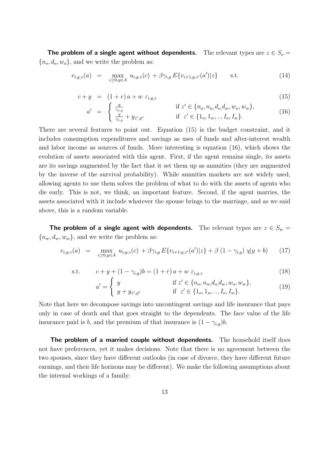The problem of a single agent without dependents. The relevant types are  $z \in S_o$  =  ${n_o, d_o, w_o}$ , and we write the problem as:

$$
v_{i,g,z}(a) = \max_{c \ge 0, y \in A} u_{i,g,z}(c) + \beta \gamma_{i,g} E\{v_{i+1,g,z'}(a')|z\} \quad \text{s.t.} \tag{14}
$$

$$
c + y = (1 + r)a + w \varepsilon_{i,g,z} \tag{15}
$$

$$
a' = \begin{cases} \frac{y}{\gamma_{i,g}} & \text{if } z' \in \{n_o, n_w, d_o, d_w, w_o, w_w\}, \\ \frac{y}{\gamma_{i,g}} + y_{z',g^*} & \text{if } z' \in \{1_o, 1_w, ..., I_o, I_w\}. \end{cases}
$$
(16)

There are several features to point out. Equation (15) is the budget constraint, and it includes consumption expenditures and savings as uses of funds and after-interest wealth and labor income as sources of funds. More interesting is equation (16), which shows the evolution of assets associated with this agent. First, if the agent remains single, its assets are its savings augmented by the fact that it set them up as annuities (they are augmented by the inverse of the survival probability). While annuities markets are not widely used, allowing agents to use them solves the problem of what to do with the assets of agents who die early. This is not, we think, an important feature. Second, if the agent marries, the assets associated with it include whatever the spouse brings to the marriage, and as we said above, this is a random variable.

The problem of a single agent with dependents. The relevant types are  $z \in S_w$  =  ${n_w, d_w, w_w}$ , and we write the problem as:

$$
v_{i,g,z}(a) = \max_{c \ge 0, y \in A} u_{i,g,z}(c) + \beta \gamma_{i,g} E\{v_{i+1,g,z'}(a')|z\} + \beta (1 - \gamma_{i,g}) \chi(y + b) \qquad (17)
$$

s.t. 
$$
c + y + (1 - \gamma_{i,g})b = (1 + r)a + w \varepsilon_{i,g,z}
$$
 (18)

$$
a' = \begin{cases} y & \text{if } z' \in \{n_o, n_w, d_o, d_w, w_o, w_w\}, \\ y + y_{z',g^*} & \text{if } z' \in \{1_o, 1_w, ..., I_o, I_w\}. \end{cases}
$$
(19)

Note that here we decompose savings into uncontingent savings and life insurance that pays only in case of death and that goes straight to the dependents. The face value of the life insurance paid is b, and the premium of that insurance is  $(1 - \gamma_{i,g})b$ .

The problem of a married couple without dependents. The household itself does not have preferences, yet it makes decisions. Note that there is no agreement between the two spouses, since they have different outlooks (in case of divorce, they have different future earnings, and their life horizons may be different). We make the following assumptions about the internal workings of a family: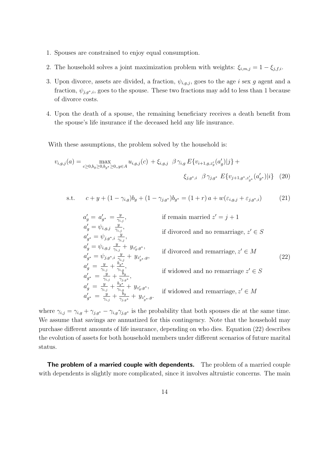- 1. Spouses are constrained to enjoy equal consumption.
- 2. The household solves a joint maximization problem with weights:  $\xi_{i,m,j} = 1 \xi_{j,f,i}$ .
- 3. Upon divorce, assets are divided, a fraction,  $\psi_{i,g,j}$ , goes to the age i sex g agent and a fraction,  $\psi_{i,q^*,i}$ , goes to the spouse. These two fractions may add to less than 1 because of divorce costs.
- 4. Upon the death of a spouse, the remaining beneficiary receives a death benefit from the spouse's life insurance if the deceased held any life insurance.

With these assumptions, the problem solved by the household is:

$$
v_{i,g,j}(a) = \max_{c \ge 0, b_g \ge 0, b_{g^*} \ge 0, y \in A} u_{i,g,j}(c) + \xi_{i,g,j} \ \beta \gamma_{i,g} E\{v_{i+1,g,z_g}(a_g')|j\} + \xi_{j,g^*,i} \ \beta \gamma_{j,g^*} E\{v_{j+1,g^*,z_{g^*}'}(a_{g^*}')|i\} \tag{20}
$$

s.t. 
$$
c + y + (1 - \gamma_{i,g})b_g + (1 - \gamma_{j,g^*})b_{g^*} = (1 + r) a + w(\varepsilon_{i,g,j} + \varepsilon_{j,g^*,i})
$$
(21)

$$
a'_{g} = a'_{g^*} = \frac{y}{\gamma_{i,j}},
$$
 if remain married  $z' = j + 1$   
\n
$$
a'_{g} = \psi_{i,g,j} \frac{y}{\gamma_{i,j}},
$$
 if diverged and no remarriage,  $z' \in S$   
\n
$$
a'_{g^*} = \psi_{i,g,j} \frac{y}{\gamma_{i,j}} + y_{z'_{g},g^*},
$$
 if diverged and rearrange,  $z' \in M$   
\n
$$
a'_{g^*} = \psi_{i,g,j} \frac{y}{\gamma_{i,j}} + y_{z'_{g},g^*},
$$
 if diverged and rearrange,  $z' \in M$   
\n
$$
a'_{g^*} = \frac{y}{\gamma_{i,j}} + \frac{b_{g^*}}{\gamma_{i,g}},
$$
 if widowed and no remarriage,  $z' \in S$   
\n
$$
a'_{g^*} = \frac{y}{\gamma_{i,j}} + \frac{b_{g^*}}{\gamma_{i,g}},
$$
 if widowed and no remarriage,  $z' \in S$   
\n
$$
a'_{g^*} = \frac{y}{\gamma_{i,j}} + \frac{b_{g^*}}{\gamma_{i,g}} + y_{z'_{g},g^*},
$$
 if widowed and rearrange,  $z' \in M$ 

where  $\gamma_{i,j} = \gamma_{i,g} + \gamma_{j,g^*} - \gamma_{i,g}\gamma_{j,g^*}$  is the probability that both spouses die at the same time. We assume that savings are annuatized for this contingency. Note that the household may purchase different amounts of life insurance, depending on who dies. Equation (22) describes the evolution of assets for both household members under different scenarios of future marital status.

The problem of a married couple with dependents. The problem of a married couple with dependents is slightly more complicated, since it involves altruistic concerns. The main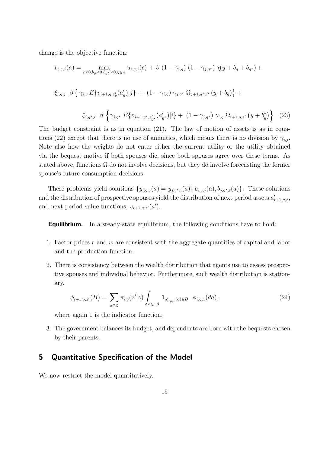change is the objective function:

$$
v_{i,g,j}(a) = \max_{c \ge 0, b_g \ge 0, b_{g^*} \ge 0, y \in A} u_{i,g,j}(c) + \beta (1 - \gamma_{i,g}) (1 - \gamma_{j,g^*}) \chi(y + b_g + b_{g^*}) +
$$
  

$$
\xi_{i,g,j} \beta \{ \gamma_{i,g} E \{v_{i+1,g,z_g}(a_g')|j\} + (1 - \gamma_{i,g}) \gamma_{j,g^*} \Omega_{j+1,g^*,z'}(y + b_g) \} +
$$
  

$$
\xi_{j,g^*,i} \beta \{ \gamma_{j,g^*} E \{v_{j+1,g^*,z_{g^*}'}(a_{g^*}')|i\} + (1 - \gamma_{j,g^*}) \gamma_{i,g} \Omega_{i+1,g,z'}(y + b_g^*) \}
$$
(23)

The budget constraint is as in equation (21). The law of motion of assets is as in equations (22) except that there is no use of annuities, which means there is no division by  $\gamma_{i,j}$ . Note also how the weights do not enter either the current utility or the utility obtained via the bequest motive if both spouses die, since both spouses agree over these terms. As stated above, functions  $\Omega$  do not involve decisions, but they do involve forecasting the former spouse's future consumption decisions.

These problems yield solutions  $\{y_{i,g,j}(a)$ [=  $y_{j,g^*,i}(a)$ ],  $b_{i,g,j}(a)$ ,  $b_{j,g^*,i}(a)$ }. These solutions and the distribution of prospective spouses yield the distribution of next period assets  $a'_{i+1,g,z}$ , and next period value functions,  $v_{i+1,g,z'}(a')$ .

**Equilibrium.** In a steady-state equilibrium, the following conditions have to hold:

- 1. Factor prices r and w are consistent with the aggregate quantities of capital and labor and the production function.
- 2. There is consistency between the wealth distribution that agents use to assess prospective spouses and individual behavior. Furthermore, such wealth distribution is stationary.

$$
\phi_{i+1,g,z'}(B) = \sum_{z \in Z} \pi_{i,g}(z'|z) \int_{a \in A} 1_{a'_{i,g,z}(a) \in B} \phi_{i,g,z}(da), \tag{24}
$$

where again 1 is the indicator function.

3. The government balances its budget, and dependents are born with the bequests chosen by their parents.

# 5 Quantitative Specification of the Model

We now restrict the model quantitatively.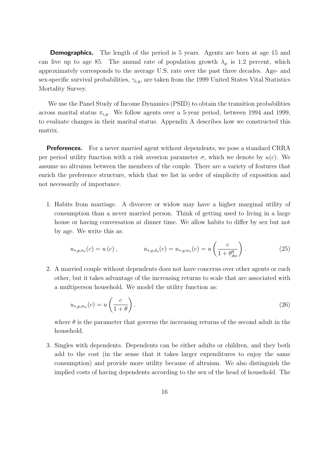**Demographics.** The length of the period is 5 years. Agents are born at age 15 and can live up to age 85. The annual rate of population growth  $\lambda_{\mu}$  is 1.2 percent, which approximately corresponds to the average U.S. rate over the past three decades. Age- and sex-specific survival probabilities,  $\gamma_{i,q}$ , are taken from the 1999 United States Vital Statistics Mortality Survey.

We use the Panel Study of Income Dynamics (PSID) to obtain the transition probabilities across marital status  $\pi_{i,g}$ . We follow agents over a 5-year period, between 1994 and 1999, to evaluate changes in their marital status. Appendix A describes how we constructed this matrix.

**Preferences.** For a never married agent without dependents, we pose a standard CRRA per period utility function with a risk avesrion parameter  $\sigma$ , which we denote by  $u(c)$ . We assume no altruism between the members of the couple. There are a variety of features that enrich the preference structure, which that we list in order of simplicity of exposition and not necessarily of importance.

1. Habits from marriage. A divorcee or widow may have a higher marginal utility of consumption than a never married person. Think of getting used to living in a large house or having conversation at dinner time. We allow habits to differ by sex but not by age. We write this as:

$$
u_{*,g,n_o}(c) = u(c), \qquad u_{*,g,d_o}(c) = u_{*,g,w_o}(c) = u\left(\frac{c}{1 + \theta_{dw}^g}\right). \tag{25}
$$

2. A married couple without dependents does not have concerns over other agents or each other, but it takes advantage of the increasing returns to scale that are associated with a multiperson household. We model the utility function as:

$$
u_{*,g,m_o}(c) = u\left(\frac{c}{1+\theta}\right). \tag{26}
$$

where  $\theta$  is the parameter that governs the increasing returns of the second adult in the household.

3. Singles with dependents. Dependents can be either adults or children, and they both add to the cost (in the sense that it takes larger expenditures to enjoy the same consumption) and provide more utility because of altruism. We also distinguish the implied costs of having dependents according to the sex of the head of household. The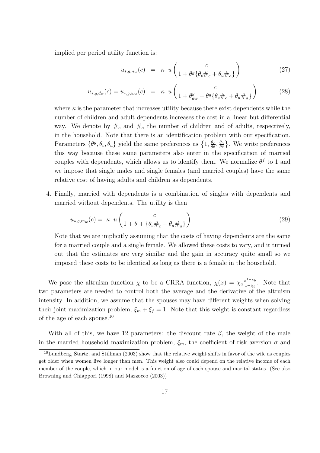implied per period utility function is:

$$
u_{*,g,n_w}(c) = \kappa u \left( \frac{c}{1 + \theta^g \{ \theta_c \#_c + \theta_a \#_a \}} \right)
$$
 (27)

$$
u_{*,g,d_w}(c) = u_{*,g,w_w}(c) = \kappa \ u \left( \frac{c}{1 + \theta_{dw}^g + \theta^g \{ \theta_c \#_c + \theta_a \#_a \}} \right)
$$
(28)

where  $\kappa$  is the parameter that increases utility because there exist dependents while the number of children and adult dependents increases the cost in a linear but differential way. We denote by  $\#_c$  and  $\#_a$  the number of children and of adults, respectively, in the household. Note that there is an identification problem with our specification. Frameters  $\{\theta^g, \theta_c, \theta_a\}$  yield the same preferences as  $\{1, \frac{\theta_c}{\theta^g}\}$  $\frac{\theta_c}{\theta^g}, \frac{\theta_a}{\theta^g}$  $\frac{\theta_a}{\theta^g}$ . We write preferences this way because these same parameters also enter in the specification of married couples with dependents, which allows us to identify them. We normalize  $\theta^f$  to 1 and we impose that single males and single females (and married couples) have the same relative cost of having adults and children as dependents.

4. Finally, married with dependents is a combination of singles with dependents and married without dependents. The utility is then

$$
u_{*,g,m_w}(c) = \kappa \ u \left( \frac{c}{1 + \theta + \{\theta_c \#_c + \theta_a \#_a\}} \right) \tag{29}
$$

Note that we are implicitly assuming that the costs of having dependents are the same for a married couple and a single female. We allowed these costs to vary, and it turned out that the estimates are very similar and the gain in accuracy quite small so we imposed these costs to be identical as long as there is a female in the household.

We pose the altruism function  $\chi$  to be a CRRA function,  $\chi(x) = \chi_a \frac{x^{1-\chi_b}}{1-\chi_b}$  $\frac{x^{1-\chi_b}}{1-\chi_b}$ . Note that two parameters are needed to control both the average and the derivative of the altruism intensity. In addition, we assume that the spouses may have different weights when solving their joint maximization problem,  $\xi_m + \xi_f = 1$ . Note that this weight is constant regardless of the age of each spouse.<sup>10</sup>

With all of this, we have 12 parameters: the discount rate  $\beta$ , the weight of the male in the married household maximization problem,  $\xi_m$ , the coefficient of risk aversion  $\sigma$  and

 $10$ Lundberg, Startz, and Stillman (2003) show that the relative weight shifts in favor of the wife as couples get older when women live longer than men. This weight also could depend on the relative income of each member of the couple, which in our model is a function of age of each spouse and marital status. (See also Browning and Chiappori (1998) and Mazzocco (2003))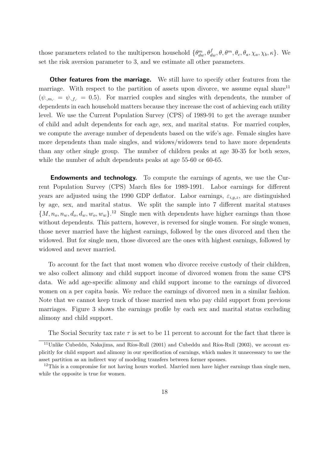those parameters related to the multiperson household  $\{\theta_{dw}^m, \theta_{dw}^f, \theta, \theta_m^m, \theta_c, \theta_a, \chi_a, \chi_b, \kappa\}$ . We set the risk aversion parameter to 3, and we estimate all other parameters.

**Other features from the marriage.** We still have to specify other features from the marriage. With respect to the partition of assets upon divorce, we assume equal share<sup>11</sup>  $(\psi_{m,\cdot} = \psi_{n,\cdot} = 0.5)$ . For married couples and singles with dependents, the number of dependents in each household matters because they increase the cost of achieving each utility level. We use the Current Population Survey (CPS) of 1989-91 to get the average number of child and adult dependents for each age, sex, and marital status. For married couples, we compute the average number of dependents based on the wife's age. Female singles have more dependents than male singles, and widows/widowers tend to have more dependents than any other single group. The number of children peaks at age 30-35 for both sexes, while the number of adult dependents peaks at age 55-60 or 60-65.

**Endowments and technology.** To compute the earnings of agents, we use the Current Population Survey (CPS) March files for 1989-1991. Labor earnings for different years are adjusted using the 1990 GDP deflator. Labor earnings,  $\varepsilon_{i,g,z}$ , are distinguished by age, sex, and marital status. We split the sample into 7 different marital statuses  $\{M, n_o, n_w, d_o, d_w, w_o, w_w\}$ <sup>12</sup> Single men with dependents have higher earnings than those without dependents. This pattern, however, is reversed for single women. For single women, those never married have the highest earnings, followed by the ones divorced and then the widowed. But for single men, those divorced are the ones with highest earnings, followed by widowed and never married.

To account for the fact that most women who divorce receive custody of their children, we also collect alimony and child support income of divorced women from the same CPS data. We add age-specific alimony and child support income to the earnings of divorced women on a per capita basis. We reduce the earnings of divorced men in a similar fashion. Note that we cannot keep track of those married men who pay child support from previous marriages. Figure 3 shows the earnings profile by each sex and marital status excluding alimony and child support.

The Social Security tax rate  $\tau$  is set to be 11 percent to account for the fact that there is

<sup>&</sup>lt;sup>11</sup>Unlike Cubeddu, Nakajima, and Ríos-Rull (2001) and Cubeddu and Ríos-Rull (2003), we account explicitly for child support and alimony in our specification of earnings, which makes it unnecessary to use the asset partition as an indirect way of modeling transfers between former spouses.

 $12$ This is a compromise for not having hours worked. Married men have higher earnings than single men, while the opposite is true for women.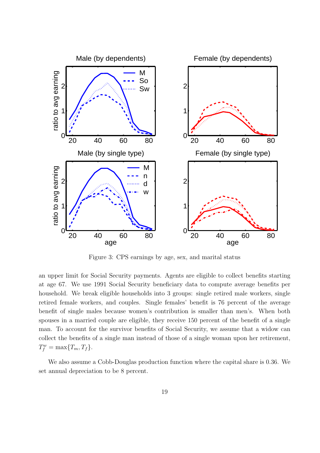

Figure 3: CPS earnings by age, sex, and marital status

an upper limit for Social Security payments. Agents are eligible to collect benefits starting at age 67. We use 1991 Social Security beneficiary data to compute average benefits per household. We break eligible households into 3 groups: single retired male workers, single retired female workers, and couples. Single females' benefit is 76 percent of the average benefit of single males because women's contribution is smaller than men's. When both spouses in a married couple are eligible, they receive 150 percent of the benefit of a single man. To account for the survivor benefits of Social Security, we assume that a widow can collect the benefits of a single man instead of those of a single woman upon her retirement,  $T_f^w = \max\{T_m, T_f\}.$ 

We also assume a Cobb-Douglas production function where the capital share is 0.36. We set annual depreciation to be 8 percent.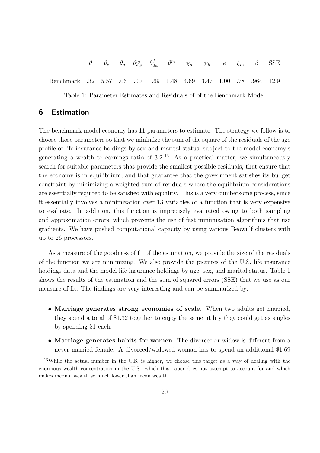|                                                                  |  |  |  | $\theta$ $\theta_c$ $\theta_a$ $\theta_{dw}^m$ $\theta_{dw}^f$ $\theta^m$ $\chi_a$ $\chi_b$ $\kappa$ $\xi_m$ $\beta$ SSE |  |  |
|------------------------------------------------------------------|--|--|--|--------------------------------------------------------------------------------------------------------------------------|--|--|
| Benchmark 32 5.57 .06 .00 1.69 1.48 4.69 3.47 1.00 .78 .964 12.9 |  |  |  |                                                                                                                          |  |  |

Table 1: Parameter Estimates and Residuals of of the Benchmark Model

# 6 Estimation

The benchmark model economy has 11 parameters to estimate. The strategy we follow is to choose those parameters so that we minimize the sum of the square of the residuals of the age profile of life insurance holdings by sex and marital status, subject to the model economy's generating a wealth to earnings ratio of  $3.2^{13}$  As a practical matter, we simultaneously search for suitable parameters that provide the smallest possible residuals, that ensure that the economy is in equilibrium, and that guarantee that the government satisfies its budget constraint by minimizing a weighted sum of residuals where the equilibrium considerations are essentially required to be satisfied with equality. This is a very cumbersome process, since it essentially involves a minimization over 13 variables of a function that is very expensive to evaluate. In addition, this function is imprecisely evaluated owing to both sampling and approximation errors, which prevents the use of fast minimization algorithms that use gradients. We have pushed computational capacity by using various Beowulf clusters with up to 26 processors.

As a measure of the goodness of fit of the estimation, we provide the size of the residuals of the function we are minimizing. We also provide the pictures of the U.S. life insurance holdings data and the model life insurance holdings by age, sex, and marital status. Table 1 shows the results of the estimation and the sum of squared errors (SSE) that we use as our measure of fit. The findings are very interesting and can be summarized by:

- Marriage generates strong economies of scale. When two adults get married, they spend a total of \$1.32 together to enjoy the same utility they could get as singles by spending \$1 each.
- Marriage generates habits for women. The divorcee or widow is different from a never married female. A divorced/widowed woman has to spend an additional \$1.69

<sup>&</sup>lt;sup>13</sup>While the actual number in the U.S. is higher, we choose this target as a way of dealing with the enormous wealth concentration in the U.S., which this paper does not attempt to account for and which makes median wealth so much lower than mean wealth.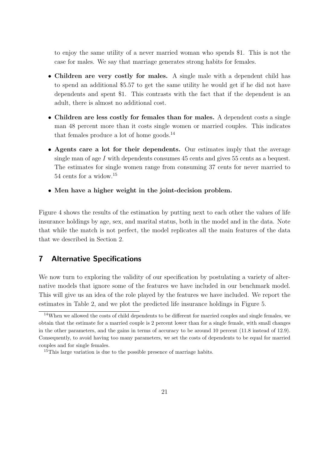to enjoy the same utility of a never married woman who spends \$1. This is not the case for males. We say that marriage generates strong habits for females.

- Children are very costly for males. A single male with a dependent child has to spend an additional \$5.57 to get the same utility he would get if he did not have dependents and spent \$1. This contrasts with the fact that if the dependent is an adult, there is almost no additional cost.
- Children are less costly for females than for males. A dependent costs a single man 48 percent more than it costs single women or married couples. This indicates that females produce a lot of home goods. $^{14}$
- Agents care a lot for their dependents. Our estimates imply that the average single man of age I with dependents consumes 45 cents and gives 55 cents as a bequest. The estimates for single women range from consuming 37 cents for never married to 54 cents for a widow.<sup>15</sup>
- Men have a higher weight in the joint-decision problem.

Figure 4 shows the results of the estimation by putting next to each other the values of life insurance holdings by age, sex, and marital status, both in the model and in the data. Note that while the match is not perfect, the model replicates all the main features of the data that we described in Section 2.

# 7 Alternative Specifications

We now turn to exploring the validity of our specification by postulating a variety of alternative models that ignore some of the features we have included in our benchmark model. This will give us an idea of the role played by the features we have included. We report the estimates in Table 2, and we plot the predicted life insurance holdings in Figure 5.

<sup>14</sup>When we allowed the costs of child dependents to be different for married couples and single females, we obtain that the estimate for a married couple is 2 percent lower than for a single female, with small changes in the other parameters, and the gains in terms of accuracy to be around 10 percent (11.8 instead of 12.9). Consequently, to avoid having too many parameters, we set the costs of dependents to be equal for married couples and for single females.

<sup>&</sup>lt;sup>15</sup>This large variation is due to the possible presence of marriage habits.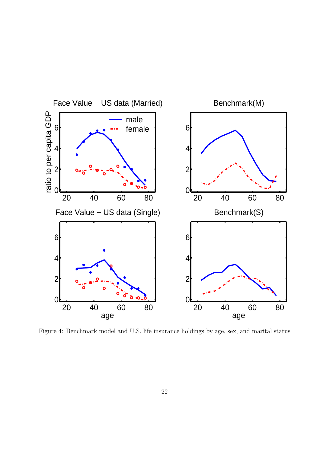

Figure 4: Benchmark model and U.S. life insurance holdings by age, sex, and marital status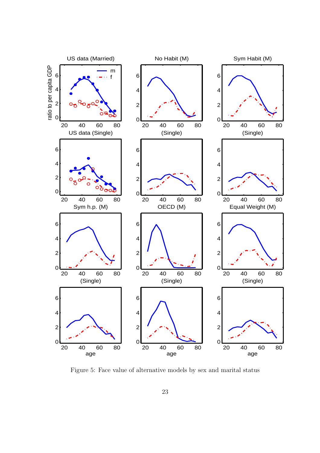

Figure 5: Face value of alternative models by sex and marital status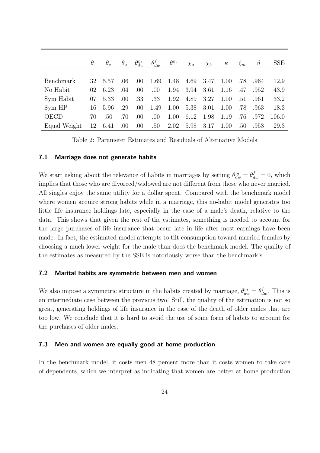|                  | $\theta$ | $\theta_c$ | $\theta_a$ |      |                  | $\theta_{dw}^m$ $\theta_{dw}^f$ $\theta^m$ | $\chi_a$  | $\chi_b$ | $\kappa$ |     | $\xi_m$ $\beta$ | <b>SSE</b> |
|------------------|----------|------------|------------|------|------------------|--------------------------------------------|-----------|----------|----------|-----|-----------------|------------|
|                  |          |            |            |      |                  |                                            |           |          |          |     |                 |            |
| <b>Benchmark</b> | $.32\,$  | 5.57       | .06        | .00. | 1.69             |                                            | 1.48 4.69 | 3.47     | 1.00     | .78 | .964            | 12.9       |
| No Habit         | .02      | 6.23       | .04        | .00  | .00.             | 1.94                                       | 3.94      | 3.61     | 1.16     | .47 | .952            | 43.9       |
| Sym Habit        | .07      | 5.33       | .00.       | .33  | .33              | 1.92                                       | 4.89      | 3.27     | 1.00     | .51 | .961            | 33.2       |
| Sym HP           | $.16\,$  | 5.96       | .29        | .00. | 1.49             | 1.00                                       | 5.38      | 3.01     | 1.00     | .78 | .963            | 18.3       |
| <b>OECD</b>      | .70      | .50        | .70        | .00  | .00.             | 1.00                                       | 6.12      | 1.98     | 1.19     | .76 | .972            | 106.0      |
| Equal Weight     | $.12\,$  | 6.41       | .00        | .00. | $.50 \quad 2.02$ |                                            | 5.98      | 3.17     | 1.00     | .50 | .953            | 29.3       |

Table 2: Parameter Estimates and Residuals of Alternative Models

#### 7.1 Marriage does not generate habits

We start asking about the relevance of habits in marriages by setting  $\theta_{dw}^m = \theta_{dw}^f = 0$ , which implies that those who are divorced/widowed are not different from those who never married. All singles enjoy the same utility for a dollar spent. Compared with the benchmark model where women acquire strong habits while in a marriage, this no-habit model generates too little life insurance holdings late, especially in the case of a male's death, relative to the data. This shows that given the rest of the estimates, something is needed to account for the large purchases of life insurance that occur late in life after most earnings have been made. In fact, the estimated model attempts to tilt consumption toward married females by choosing a much lower weight for the male than does the benchmark model. The quality of the estimates as measured by the SSE is notoriously worse than the benchmark's.

#### 7.2 Marital habits are symmetric between men and women

We also impose a symmetric structure in the habits created by marriage,  $\theta_{dw}^m = \theta_{dw}^f$ . This is an intermediate case between the previous two. Still, the quality of the estimation is not so great, generating holdings of life insurance in the case of the death of older males that are too low. We conclude that it is hard to avoid the use of some form of habits to account for the purchases of older males.

#### 7.3 Men and women are equally good at home production

In the benchmark model, it costs men 48 percent more than it costs women to take care of dependents, which we interpret as indicating that women are better at home production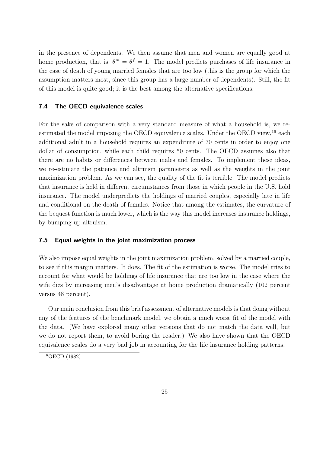in the presence of dependents. We then assume that men and women are equally good at home production, that is,  $\theta^m = \theta^f = 1$ . The model predicts purchases of life insurance in the case of death of young married females that are too low (this is the group for which the assumption matters most, since this group has a large number of dependents). Still, the fit of this model is quite good; it is the best among the alternative specifications.

#### 7.4 The OECD equivalence scales

For the sake of comparison with a very standard measure of what a household is, we reestimated the model imposing the OECD equivalence scales. Under the OECD view,  $^{16}$  each additional adult in a household requires an expenditure of 70 cents in order to enjoy one dollar of consumption, while each child requires 50 cents. The OECD assumes also that there are no habits or differences between males and females. To implement these ideas, we re-estimate the patience and altruism parameters as well as the weights in the joint maximization problem. As we can see, the quality of the fit is terrible. The model predicts that insurance is held in different circumstances from those in which people in the U.S. hold insurance. The model underpredicts the holdings of married couples, especially late in life and conditional on the death of females. Notice that among the estimates, the curvature of the bequest function is much lower, which is the way this model increases insurance holdings, by bumping up altruism.

#### 7.5 Equal weights in the joint maximization process

We also impose equal weights in the joint maximization problem, solved by a married couple, to see if this margin matters. It does. The fit of the estimation is worse. The model tries to account for what would be holdings of life insurance that are too low in the case where the wife dies by increasing men's disadvantage at home production dramatically (102 percent versus 48 percent).

Our main conclusion from this brief assessment of alternative models is that doing without any of the features of the benchmark model, we obtain a much worse fit of the model with the data. (We have explored many other versions that do not match the data well, but we do not report them, to avoid boring the reader.) We also have shown that the OECD equivalence scales do a very bad job in accounting for the life insurance holding patterns.

<sup>&</sup>lt;sup>16</sup>OECD (1982)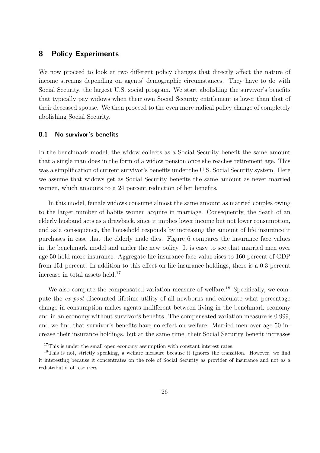# 8 Policy Experiments

We now proceed to look at two different policy changes that directly affect the nature of income streams depending on agents' demographic circumstances. They have to do with Social Security, the largest U.S. social program. We start abolishing the survivor's benefits that typically pay widows when their own Social Security entitlement is lower than that of their deceased spouse. We then proceed to the even more radical policy change of completely abolishing Social Security.

#### 8.1 No survivor's benefits

In the benchmark model, the widow collects as a Social Security benefit the same amount that a single man does in the form of a widow pension once she reaches retirement age. This was a simplification of current survivor's benefits under the U.S. Social Security system. Here we assume that widows get as Social Security benefits the same amount as never married women, which amounts to a 24 percent reduction of her benefits.

In this model, female widows consume almost the same amount as married couples owing to the larger number of habits women acquire in marriage. Consequently, the death of an elderly husband acts as a drawback, since it implies lower income but not lower consumption, and as a consequence, the household responds by increasing the amount of life insurance it purchases in case that the elderly male dies. Figure 6 compares the insurance face values in the benchmark model and under the new policy. It is easy to see that married men over age 50 hold more insurance. Aggregate life insurance face value rises to 160 percent of GDP from 151 percent. In addition to this effect on life insurance holdings, there is a 0.3 percent increase in total assets held.<sup>17</sup>

We also compute the compensated variation measure of welfare.<sup>18</sup> Specifically, we compute the ex post discounted lifetime utility of all newborns and calculate what percentage change in consumption makes agents indifferent between living in the benchmark economy and in an economy without survivor's benefits. The compensated variation measure is 0.999, and we find that survivor's benefits have no effect on welfare. Married men over age 50 increase their insurance holdings, but at the same time, their Social Security benefit increases

<sup>&</sup>lt;sup>17</sup>This is under the small open economy assumption with constant interest rates.

<sup>&</sup>lt;sup>18</sup>This is not, strictly speaking, a welfare measure because it ignores the transition. However, we find it interesting because it concentrates on the role of Social Security as provider of insurance and not as a redistributor of resources.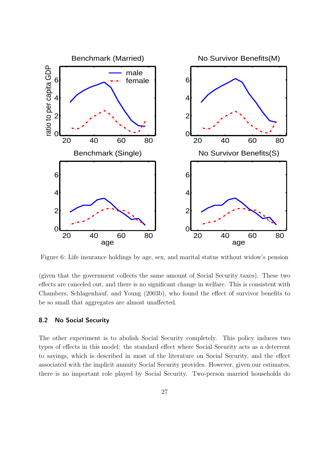

Figure 6: Life insurance holdings by age, sex, and marital status without widow's pension

(given that the government collects the same amount of Social Security taxes). These two effects are canceled out, and there is no significant change in welfare. This is consistent with Chambers, Schlagenhauf, and Young (2003b), who found the effect of survivor benefits to be so small that aggregates are almost unaffected.

### 8.2 No Social Security

The other experiment is to abolish Social Security completely. This policy induces two types of effects in this model: the standard effect where Social Security acts as a deterrent to savings, which is described in most of the literature on Social Security, and the effect associated with the implicit annuity Social Security provides. However, given our estimates, there is no important role played by Social Security. Two-person married households do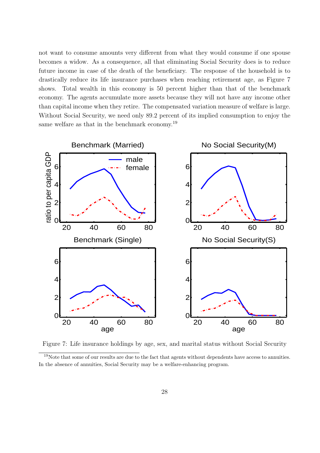not want to consume amounts very different from what they would consume if one spouse becomes a widow. As a consequence, all that eliminating Social Security does is to reduce future income in case of the death of the beneficiary. The response of the household is to drastically reduce its life insurance purchases when reaching retirement age, as Figure 7 shows. Total wealth in this economy is 50 percent higher than that of the benchmark economy. The agents accumulate more assets because they will not have any income other than capital income when they retire. The compensated variation measure of welfare is large. Without Social Security, we need only 89.2 percent of its implied consumption to enjoy the same welfare as that in the benchmark economy.<sup>19</sup>



Figure 7: Life insurance holdings by age, sex, and marital status without Social Security

<sup>&</sup>lt;sup>19</sup>Note that some of our results are due to the fact that agents without dependents have access to annuities. In the absence of annuities, Social Security may be a welfare-enhancing program.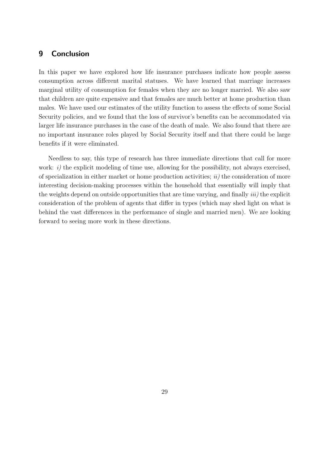# 9 Conclusion

In this paper we have explored how life insurance purchases indicate how people assess consumption across different marital statuses. We have learned that marriage increases marginal utility of consumption for females when they are no longer married. We also saw that children are quite expensive and that females are much better at home production than males. We have used our estimates of the utility function to assess the effects of some Social Security policies, and we found that the loss of survivor's benefits can be accommodated via larger life insurance purchases in the case of the death of male. We also found that there are no important insurance roles played by Social Security itself and that there could be large benefits if it were eliminated.

Needless to say, this type of research has three immediate directions that call for more work:  $i)$  the explicit modeling of time use, allowing for the possibility, not always exercised, of specialization in either market or home production activities;  $ii)$  the consideration of more interesting decision-making processes within the household that essentially will imply that the weights depend on outside opportunities that are time varying, and finally *iii*) the explicit consideration of the problem of agents that differ in types (which may shed light on what is behind the vast differences in the performance of single and married men). We are looking forward to seeing more work in these directions.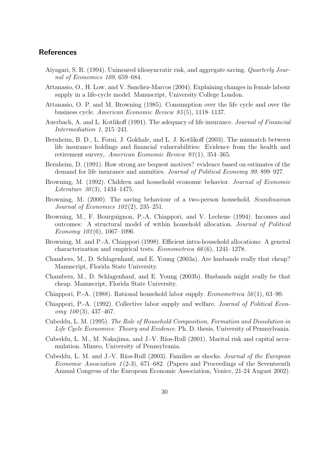## **References**

- Aiyagari, S. R. (1994). Uninsured idiosyncratic risk, and aggregate saving. Quarterly Journal of Economics 109, 659–684.
- Attanasio, O., H. Low, and V. Sanchez-Marcos (2004). Explaining changes in female labour supply in a life-cycle model. Manuscript, University College London.
- Attanasio, O. P. and M. Browning (1985). Consumption over the life cycle and over the business cycle. American Economic Review 85 (5), 1118–1137.
- Auerbach, A. and L. Kotlikoff (1991). The adequacy of life insurance. Journal of Financial Intermediation 1, 215–241.
- Bernheim, B. D., L. Forni, J. Gokhale, and L. J. Kotlikoff (2003). The mismatch between life insurance holdings and financial vulnerabilities: Evidence from the health and retirement survey, American Economic Review 93(1), 354–365.
- Bernheim, D. (1991). How strong are bequest motives? evidence based on estimates of the demand for life insurance and annuities. Journal of Political Economy 99, 899–927.
- Browning, M. (1992). Children and household economic behavior. Journal of Economic Literature  $30(3)$ , 1434–1475.
- Browning, M. (2000). The saving behaviour of a two-person household. Scandinavian Journal of Economics 102 (2), 235–251.
- Browning, M., F. Bourguignon, P.-A. Chiappori, and V. Lechene (1994). Incomes and outcomes: A structural model of within household allocation. Journal of Political Economy  $102(6)$ , 1067-1096.
- Browning, M. and P.-A. Chiappori (1998). Efficient intra-household allocations: A general characterization and empirical tests. *Econometrica*  $66(6)$ , 1241–1278.
- Chambers, M., D. Schlagenhauf, and E. Young (2003a). Are husbands really that cheap? Manuscript, Florida State University.
- Chambers, M., D. Schlagenhauf, and E. Young (2003b). Husbands might really be that cheap. Manuscript, Florida State University.
- Chiappori, P.-A. (1988). Rational household labor supply. *Econometrica* 56(1), 63–90.
- Chiappori, P.-A. (1992). Collective labor supply and welfare. Journal of Political Econ $omy\ 100(3),\ 437-467.$
- Cubeddu, L. M. (1995). The Role of Household Composition, Formation and Dissolution in Life Cycle Economies: Theory and Evidence. Ph. D. thesis, University of Pennsylvania.
- Cubeddu, L. M., M. Nakajima, and J.-V. Ríos-Rull (2001). Marital risk and capital accumulation. Mimeo, University of Pennsylvania.
- Cubeddu, L. M. and J.-V. Ríos-Rull (2003). Families as shocks. *Journal of the European* Economic Association  $1(2-3)$ , 671–682. (Papers and Proceedings of the Seventeenth Annual Congress of the European Economic Association, Venice, 21-24 August 2002).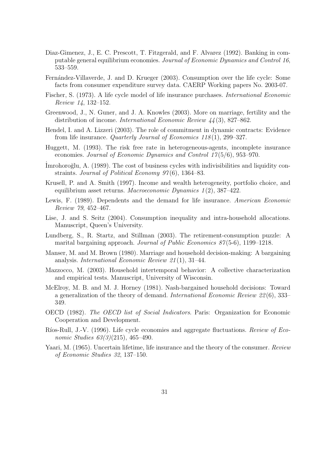- Diaz-Gimenez, J., E. C. Prescott, T. Fitzgerald, and F. Alvarez (1992). Banking in computable general equilibrium economies. Journal of Economic Dynamics and Control 16, 533–559.
- Fernández-Villaverde, J. and D. Krueger (2003). Consumption over the life cycle: Some facts from consumer expenditure survey data. CAERP Working papers No. 2003-07.
- Fischer, S. (1973). A life cycle model of life insurance purchases. International Economic Review 14, 132–152.
- Greenwood, J., N. Guner, and J. A. Knowles (2003). More on marriage, fertility and the distribution of income. *International Economic Review 44* (3), 827–862.
- Hendel, I. and A. Lizzeri (2003). The role of commitment in dynamic contracts: Evidence from life insurance. Quarterly Journal of Economics 118 (1), 299–327.
- Huggett, M. (1993). The risk free rate in heterogeneous-agents, incomplete insurance economies. Journal of Economic Dynamics and Control 17 (5/6), 953–970.
- Imrohoroğlu, A. (1989). The cost of business cycles with indivisibilities and liquidity constraints. Journal of Political Economy 97(6), 1364–83.
- Krusell, P. and A. Smith (1997). Income and wealth heterogeneity, portfolio choice, and equilibrium asset returns. Macroeconomic Dynamics  $1(2)$ , 387–422.
- Lewis, F. (1989). Dependents and the demand for life insurance. American Economic Review 79, 452–467.
- Lise, J. and S. Seitz (2004). Consumption inequality and intra-household allocations. Manuscript, Queen's University.
- Lundberg, S., R. Startz, and Stillman (2003). The retirement-consumption puzzle: A marital bargaining approach. Journal of Public Economics 87 (5-6), 1199–1218.
- Manser, M. and M. Brown (1980). Marriage and household decision-making: A bargaining analysis. International Economic Review 21 (1), 31–44.
- Mazzocco, M. (2003). Household intertemporal behavior: A collective characterization and empirical tests. Manuscript, University of Wisconsin.
- McElroy, M. B. and M. J. Horney (1981). Nash-bargained household decisions: Toward a generalization of the theory of demand. International Economic Review 22 (6), 333– 349.
- OECD (1982). The OECD list of Social Indicators. Paris: Organization for Economic Cooperation and Development.
- Ríos-Rull, J.-V. (1996). Life cycle economies and aggregate fluctuations. Review of Economic Studies  $63(3)(215)$ , 465-490.
- Yaari, M. (1965). Uncertain lifetime, life insurance and the theory of the consumer. Review of Economic Studies 32, 137–150.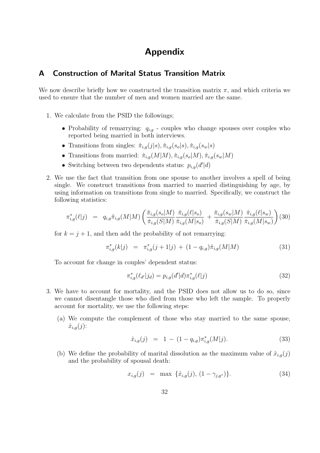# Appendix

# A Construction of Marital Status Transition Matrix

We now describe briefly how we constructed the transition matrix  $\pi$ , and which criteria we used to ensure that the number of men and women married are the same.

- 1. We calculate from the PSID the followings;
	- Probability of remarrying:  $q_{i,q}$  couples who change spouses over couples who reported being married in both interviews.
	- Transitions from singles:  $\hat{\pi}_{i,g}(j|s), \hat{\pi}_{i,g}(s_o|s), \hat{\pi}_{i,g}(s_w|s)$
	- Transitions from married:  $\hat{\pi}_{i,g}(M|M), \hat{\pi}_{i,g}(s_o|M), \hat{\pi}_{i,g}(s_w|M)$
	- Switching between two dependents status:  $p_{i,g}(d'|\textbf{d})$
- 2. We use the fact that transition from one spouse to another involves a spell of being single. We construct transitions from married to married distinguishing by age, by using information on transitions from single to married. Specifically, we construct the following statistics:

$$
\pi_{i,g}^*(\ell|j) = q_{i,g}\hat{\pi}_{i,g}(M|M) \left( \frac{\hat{\pi}_{i,g}(s_o|M)}{\hat{\pi}_{i,g}(S|M)} \frac{\hat{\pi}_{i,g}(\ell|s_o)}{\hat{\pi}_{i,g}(M|s_o)} + \frac{\hat{\pi}_{i,g}(s_w|M)}{\hat{\pi}_{i,g}(S|M)} \frac{\hat{\pi}_{i,g}(\ell|s_w)}{\hat{\pi}_{i,g}(M|s_w)} \right)
$$
(30)

for  $k = j + 1$ , and then add the probability of not remarrying:

$$
\pi_{i,g}^*(k|j) = \pi_{i,g}^*(j+1|j) + (1 - q_{i,g})\hat{\pi}_{i,g}(M|M)
$$
\n(31)

To account for change in couples' dependent status:

$$
\pi_{i,g}^*(\ell_{d'}|j_d) = p_{i,g}(d'|d)\pi_{i,g}^*(\ell|j)
$$
\n(32)

- 3. We have to account for mortality, and the PSID does not allow us to do so, since we cannot disentangle those who died from those who left the sample. To properly account for mortality, we use the following steps:
	- (a) We compute the complement of those who stay married to the same spouse,  $\hat{x}_{i,q}(j)$ :

$$
\hat{x}_{i,g}(j) = 1 - (1 - q_{i,g})\pi_{i,g}^*(M|j). \tag{33}
$$

(b) We define the probability of marital dissolution as the maximum value of  $\hat{x}_{i,q}(j)$ and the probability of spousal death:

$$
x_{i,g}(j) = \max \{\hat{x}_{i,g}(j), (1 - \gamma_{j,g^*})\}.
$$
\n(34)